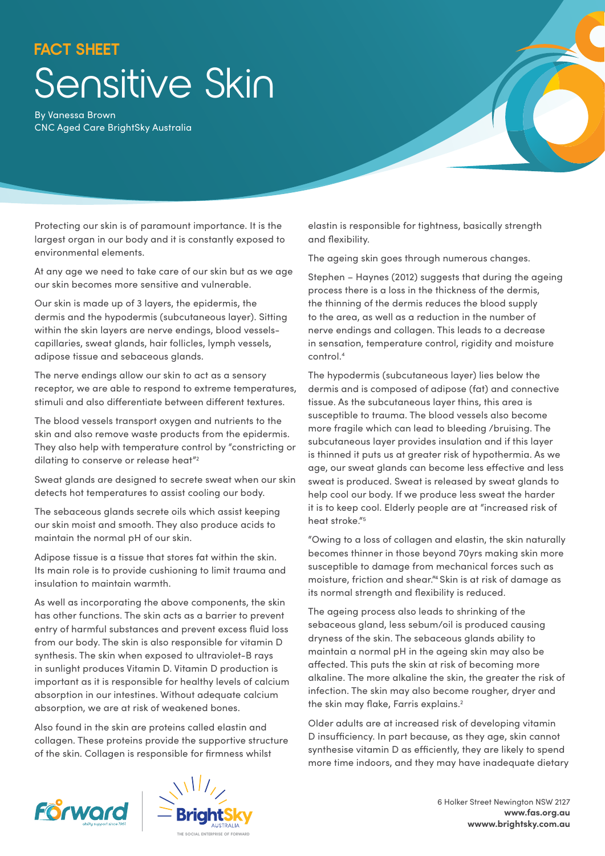## **FACT SHEET** Sensitive Skin

By Vanessa Brown CNC Aged Care BrightSky Australia

Protecting our skin is of paramount importance. It is the largest organ in our body and it is constantly exposed to environmental elements.

At any age we need to take care of our skin but as we age our skin becomes more sensitive and vulnerable.

Our skin is made up of 3 layers, the epidermis, the dermis and the hypodermis (subcutaneous layer). Sitting within the skin layers are nerve endings, blood vesselscapillaries, sweat glands, hair follicles, lymph vessels, adipose tissue and sebaceous glands.

The nerve endings allow our skin to act as a sensory receptor, we are able to respond to extreme temperatures, stimuli and also differentiate between different textures.

The blood vessels transport oxygen and nutrients to the skin and also remove waste products from the epidermis. They also help with temperature control by "constricting or dilating to conserve or release heat"<sup>2</sup>

Sweat glands are designed to secrete sweat when our skin detects hot temperatures to assist cooling our body.

The sebaceous glands secrete oils which assist keeping our skin moist and smooth. They also produce acids to maintain the normal pH of our skin.

Adipose tissue is a tissue that stores fat within the skin. Its main role is to provide cushioning to limit trauma and insulation to maintain warmth.

As well as incorporating the above components, the skin has other functions. The skin acts as a barrier to prevent entry of harmful substances and prevent excess fluid loss from our body. The skin is also responsible for vitamin D synthesis. The skin when exposed to ultraviolet-B rays in sunlight produces Vitamin D. Vitamin D production is important as it is responsible for healthy levels of calcium absorption in our intestines. Without adequate calcium absorption, we are at risk of weakened bones.

Also found in the skin are proteins called elastin and collagen. These proteins provide the supportive structure of the skin. Collagen is responsible for firmness whilst

elastin is responsible for tightness, basically strength and flexibility.

The ageing skin goes through numerous changes.

Stephen – Haynes (2012) suggests that during the ageing process there is a loss in the thickness of the dermis, the thinning of the dermis reduces the blood supply to the area, as well as a reduction in the number of nerve endings and collagen. This leads to a decrease in sensation, temperature control, rigidity and moisture control.4

The hypodermis (subcutaneous layer) lies below the dermis and is composed of adipose (fat) and connective tissue. As the subcutaneous layer thins, this area is susceptible to trauma. The blood vessels also become more fragile which can lead to bleeding /bruising. The subcutaneous layer provides insulation and if this layer is thinned it puts us at greater risk of hypothermia. As we age, our sweat glands can become less effective and less sweat is produced. Sweat is released by sweat glands to help cool our body. If we produce less sweat the harder it is to keep cool. Elderly people are at "increased risk of heat stroke."5

"Owing to a loss of collagen and elastin, the skin naturally becomes thinner in those beyond 70yrs making skin more susceptible to damage from mechanical forces such as moisture, friction and shear."4 Skin is at risk of damage as its normal strength and flexibility is reduced.

The ageing process also leads to shrinking of the sebaceous gland, less sebum/oil is produced causing dryness of the skin. The sebaceous glands ability to maintain a normal pH in the ageing skin may also be affected. This puts the skin at risk of becoming more alkaline. The more alkaline the skin, the greater the risk of infection. The skin may also become rougher, dryer and the skin may flake, Farris explains.<sup>2</sup>

Older adults are at increased risk of developing vitamin D insufficiency. In part because, as they age, skin cannot synthesise vitamin D as efficiently, they are likely to spend more time indoors, and they may have inadequate dietary